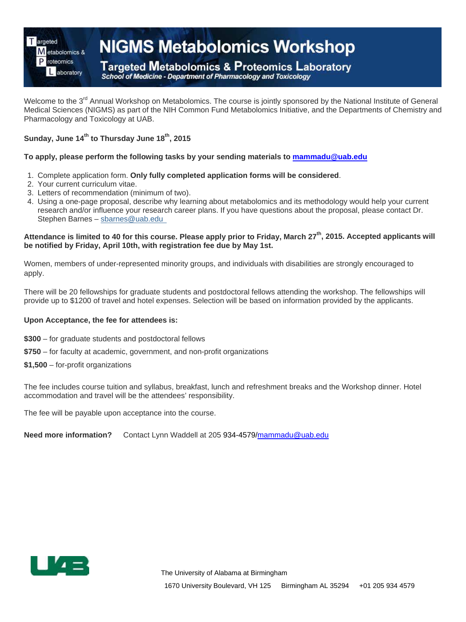

Welcome to the 3<sup>rd</sup> Annual Workshop on Metabolomics. The course is jointly sponsored by the National Institute of General Medical Sciences (NIGMS) as part of the NIH Common Fund Metabolomics Initiative, and the Departments of Chemistry and Pharmacology and Toxicology at UAB.

## **Sunday, June 14th to Thursday June 18th, 2015**

#### **To apply, please perform the following tasks by your sending materials to [mammadu@uab.edu](mailto:mammadu@uab.edu)**

- 1. Complete application form. **Only fully completed application forms will be considered**.
- 2. Your current curriculum vitae.
- 3. Letters of recommendation (minimum of two).
- 4. Using a one-page proposal, describe why learning about metabolomics and its methodology would help your current research and/or influence your research career plans. If you have questions about the proposal, please contact Dr. Stephen Barnes – [sbarnes@uab.edu](mailto:sbarnes@uab.edu)

#### **Attendance is limited to 40 for this course. Please apply prior to Friday, March 27th, 2015. Accepted applicants will be notified by Friday, April 10th, with registration fee due by May 1st.**

Women, members of under-represented minority groups, and individuals with disabilities are strongly encouraged to apply.

There will be 20 fellowships for graduate students and postdoctoral fellows attending the workshop. The fellowships will provide up to \$1200 of travel and hotel expenses. Selection will be based on information provided by the applicants.

#### **Upon Acceptance, the fee for attendees is:**

- **\$300** for graduate students and postdoctoral fellows
- **\$750** for faculty at academic, government, and non-profit organizations
- **\$1,500** for-profit organizations

The fee includes course tuition and syllabus, breakfast, lunch and refreshment breaks and the Workshop dinner. Hotel accommodation and travel will be the attendees' responsibility.

The fee will be payable upon acceptance into the course.

**Need more information?** Contact Lynn Waddell at 205 934-4579[/mammadu@uab.edu](mailto:mammadu@uab.edu)